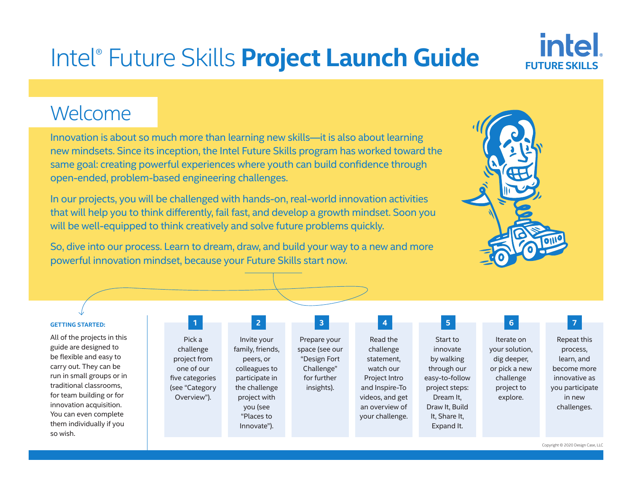# Intel® Future Skills **Project Launch Guide**

# Welcome

Innovation is about so much more than learning new skills—it is also about learning new mindsets. Since its inception, the Intel Future Skills program has worked toward the same goal: creating powerful experiences where youth can build confidence through open-ended, problem-based engineering challenges.

In our projects, you will be challenged with hands-on, real-world innovation activities that will help you to think differently, fail fast, and develop a growth mindset. Soon you will be well-equipped to think creatively and solve future problems quickly.

So, dive into our process. Learn to dream, draw, and build your way to a new and more powerful innovation mindset, because your Future Skills start now.



**FUTURE SKILL** 

intel

| <b>GETTING STARTED:</b> |  |  |
|-------------------------|--|--|
|                         |  |  |

All of the projects in this guide are designed to be flexible and easy to carry out. They can be run in small groups or in traditional classrooms, for team building or for innovation acquisition. You can even complete them individually if you so wish.

| Pick a          |  | Invite your      |  |  |
|-----------------|--|------------------|--|--|
| challenge       |  | family, friends, |  |  |
| project from    |  | peers, or        |  |  |
| one of our      |  | colleagues to    |  |  |
| five categories |  | participate in   |  |  |
| (see "Category  |  | the challenge    |  |  |
| Overview").     |  | project with     |  |  |
|                 |  | you (see         |  |  |
|                 |  | "Places to       |  |  |
|                 |  | Innovate").      |  |  |

Prepare your space (see our "Design Fort Challenge" for further insights).

Read the challenge statement, watch our Project Intro and Inspire-To videos, and get an overview of your challenge.

Start to innovate by walking through our easy-to-follow project steps: Dream It, Draw It, Build It, Share It, Expand It. **1 2 3 4 5 6 7**

Iterate on your solution, dig deeper, or pick a new challenge project to explore.

Repeat this process, learn, and become more innovative as you participate in new challenges.